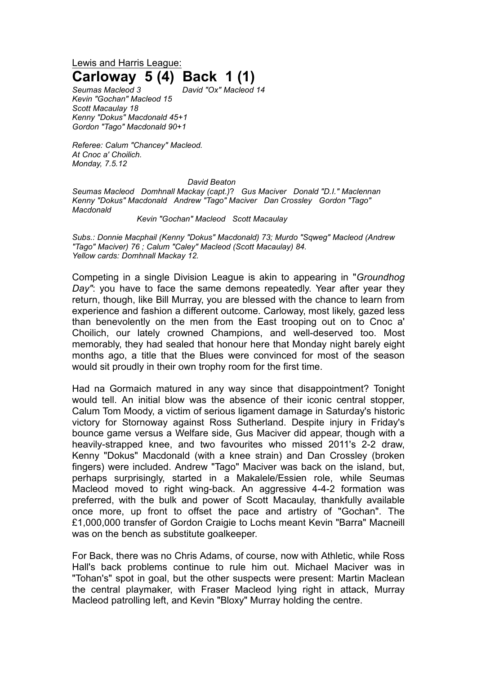Lewis and Harris League: **Carloway 5 (4) Back 1 (1)**

*Seumas Macleod 3 David "Ox" Macleod 14 Kevin "Gochan" Macleod 15 Scott Macaulay 18 Kenny "Dokus" Macdonald 45+1 Gordon "Tago" Macdonald 90+1*

*Referee: Calum "Chancey" Macleod. At Cnoc a' Choilich. Monday, 7.5.12* 

## *David Beaton*

*Seumas Macleod Domhnall Mackay (capt.)*? *Gus Maciver Donald "D.I." Maclennan Kenny "Dokus" Macdonald Andrew "Tago" Maciver Dan Crossley Gordon "Tago" Macdonald*

*Kevin "Gochan" Macleod Scott Macaulay* 

*Subs.: Donnie Macphail (Kenny "Dokus" Macdonald) 73; Murdo "Sqweg" Macleod (Andrew "Tago" Maciver) 76 ; Calum "Caley" Macleod (Scott Macaulay) 84. Yellow cards: Domhnall Mackay 12.*

Competing in a single Division League is akin to appearing in "*Groundhog Day"*: you have to face the same demons repeatedly. Year after year they return, though, like Bill Murray, you are blessed with the chance to learn from experience and fashion a different outcome. Carloway, most likely, gazed less than benevolently on the men from the East trooping out on to Cnoc a' Choilich, our lately crowned Champions, and well-deserved too. Most memorably, they had sealed that honour here that Monday night barely eight months ago, a title that the Blues were convinced for most of the season would sit proudly in their own trophy room for the first time.

Had na Gormaich matured in any way since that disappointment? Tonight would tell. An initial blow was the absence of their iconic central stopper, Calum Tom Moody, a victim of serious ligament damage in Saturday's historic victory for Stornoway against Ross Sutherland. Despite injury in Friday's bounce game versus a Welfare side, Gus Maciver did appear, though with a heavily-strapped knee, and two favourites who missed 2011's 2-2 draw, Kenny "Dokus" Macdonald (with a knee strain) and Dan Crossley (broken fingers) were included. Andrew "Tago" Maciver was back on the island, but, perhaps surprisingly, started in a Makalele/Essien role, while Seumas Macleod moved to right wing-back. An aggressive 4-4-2 formation was preferred, with the bulk and power of Scott Macaulay, thankfully available once more, up front to offset the pace and artistry of "Gochan". The £1,000,000 transfer of Gordon Craigie to Lochs meant Kevin "Barra" Macneill was on the bench as substitute goalkeeper.

For Back, there was no Chris Adams, of course, now with Athletic, while Ross Hall's back problems continue to rule him out. Michael Maciver was in "Tohan's" spot in goal, but the other suspects were present: Martin Maclean the central playmaker, with Fraser Macleod lying right in attack, Murray Macleod patrolling left, and Kevin "Bloxy" Murray holding the centre.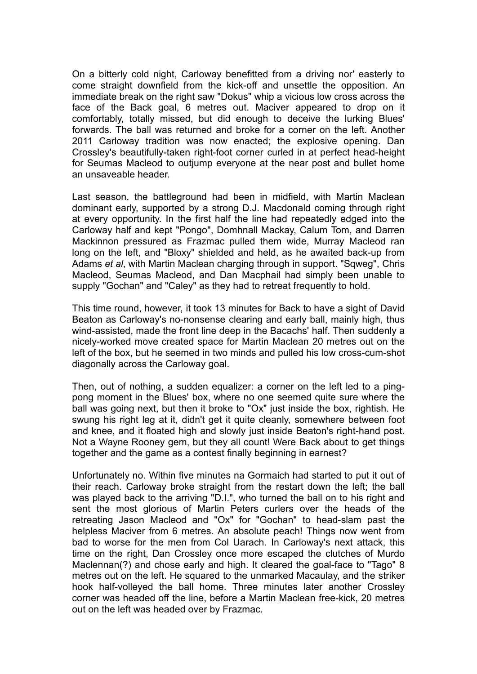On a bitterly cold night, Carloway benefitted from a driving nor' easterly to come straight downfield from the kick-off and unsettle the opposition. An immediate break on the right saw "Dokus" whip a vicious low cross across the face of the Back goal, 6 metres out. Maciver appeared to drop on it comfortably, totally missed, but did enough to deceive the lurking Blues' forwards. The ball was returned and broke for a corner on the left. Another 2011 Carloway tradition was now enacted; the explosive opening. Dan Crossley's beautifully-taken right-foot corner curled in at perfect head-height for Seumas Macleod to outjump everyone at the near post and bullet home an unsaveable header.

Last season, the battleground had been in midfield, with Martin Maclean dominant early, supported by a strong D.J. Macdonald coming through right at every opportunity. In the first half the line had repeatedly edged into the Carloway half and kept "Pongo", Domhnall Mackay, Calum Tom, and Darren Mackinnon pressured as Frazmac pulled them wide, Murray Macleod ran long on the left, and "Bloxy" shielded and held, as he awaited back-up from Adams *et al*, with Martin Maclean charging through in support. "Sqweg", Chris Macleod, Seumas Macleod, and Dan Macphail had simply been unable to supply "Gochan" and "Caley" as they had to retreat frequently to hold.

This time round, however, it took 13 minutes for Back to have a sight of David Beaton as Carloway's no-nonsense clearing and early ball, mainly high, thus wind-assisted, made the front line deep in the Bacachs' half. Then suddenly a nicely-worked move created space for Martin Maclean 20 metres out on the left of the box, but he seemed in two minds and pulled his low cross-cum-shot diagonally across the Carloway goal.

Then, out of nothing, a sudden equalizer: a corner on the left led to a pingpong moment in the Blues' box, where no one seemed quite sure where the ball was going next, but then it broke to "Ox" just inside the box, rightish. He swung his right leg at it, didn't get it quite cleanly, somewhere between foot and knee, and it floated high and slowly just inside Beaton's right-hand post. Not a Wayne Rooney gem, but they all count! Were Back about to get things together and the game as a contest finally beginning in earnest?

Unfortunately no. Within five minutes na Gormaich had started to put it out of their reach. Carloway broke straight from the restart down the left; the ball was played back to the arriving "D.I.", who turned the ball on to his right and sent the most glorious of Martin Peters curlers over the heads of the retreating Jason Macleod and "Ox" for "Gochan" to head-slam past the helpless Maciver from 6 metres. An absolute peach! Things now went from bad to worse for the men from Col Uarach. In Carloway's next attack, this time on the right, Dan Crossley once more escaped the clutches of Murdo Maclennan(?) and chose early and high. It cleared the goal-face to "Tago" 8 metres out on the left. He squared to the unmarked Macaulay, and the striker hook half-volleyed the ball home. Three minutes later another Crossley corner was headed off the line, before a Martin Maclean free-kick, 20 metres out on the left was headed over by Frazmac.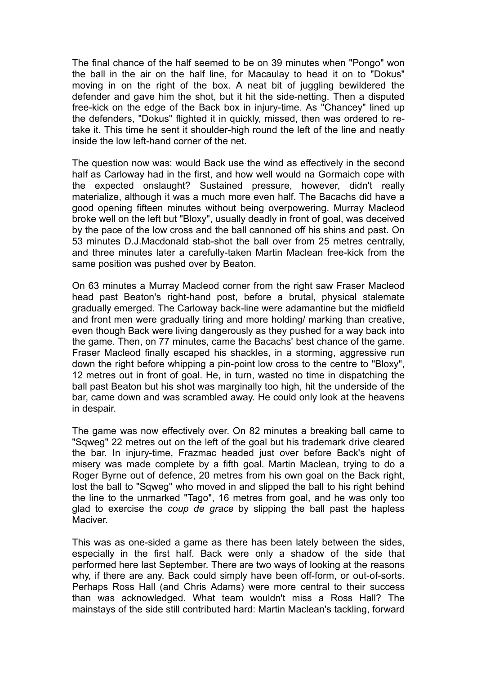The final chance of the half seemed to be on 39 minutes when "Pongo" won the ball in the air on the half line, for Macaulay to head it on to "Dokus" moving in on the right of the box. A neat bit of juggling bewildered the defender and gave him the shot, but it hit the side-netting. Then a disputed free-kick on the edge of the Back box in injury-time. As "Chancey" lined up the defenders, "Dokus" flighted it in quickly, missed, then was ordered to retake it. This time he sent it shoulder-high round the left of the line and neatly inside the low left-hand corner of the net.

The question now was: would Back use the wind as effectively in the second half as Carloway had in the first, and how well would na Gormaich cope with the expected onslaught? Sustained pressure, however, didn't really materialize, although it was a much more even half. The Bacachs did have a good opening fifteen minutes without being overpowering. Murray Macleod broke well on the left but "Bloxy", usually deadly in front of goal, was deceived by the pace of the low cross and the ball cannoned off his shins and past. On 53 minutes D.J.Macdonald stab-shot the ball over from 25 metres centrally, and three minutes later a carefully-taken Martin Maclean free-kick from the same position was pushed over by Beaton.

On 63 minutes a Murray Macleod corner from the right saw Fraser Macleod head past Beaton's right-hand post, before a brutal, physical stalemate gradually emerged. The Carloway back-line were adamantine but the midfield and front men were gradually tiring and more holding/ marking than creative, even though Back were living dangerously as they pushed for a way back into the game. Then, on 77 minutes, came the Bacachs' best chance of the game. Fraser Macleod finally escaped his shackles, in a storming, aggressive run down the right before whipping a pin-point low cross to the centre to "Bloxy", 12 metres out in front of goal. He, in turn, wasted no time in dispatching the ball past Beaton but his shot was marginally too high, hit the underside of the bar, came down and was scrambled away. He could only look at the heavens in despair.

The game was now effectively over. On 82 minutes a breaking ball came to "Sqweg" 22 metres out on the left of the goal but his trademark drive cleared the bar. In injury-time, Frazmac headed just over before Back's night of misery was made complete by a fifth goal. Martin Maclean, trying to do a Roger Byrne out of defence, 20 metres from his own goal on the Back right, lost the ball to "Sqweg" who moved in and slipped the ball to his right behind the line to the unmarked "Tago", 16 metres from goal, and he was only too glad to exercise the *coup de grace* by slipping the ball past the hapless Maciver.

This was as one-sided a game as there has been lately between the sides, especially in the first half. Back were only a shadow of the side that performed here last September. There are two ways of looking at the reasons why, if there are any. Back could simply have been off-form, or out-of-sorts. Perhaps Ross Hall (and Chris Adams) were more central to their success than was acknowledged. What team wouldn't miss a Ross Hall? The mainstays of the side still contributed hard: Martin Maclean's tackling, forward